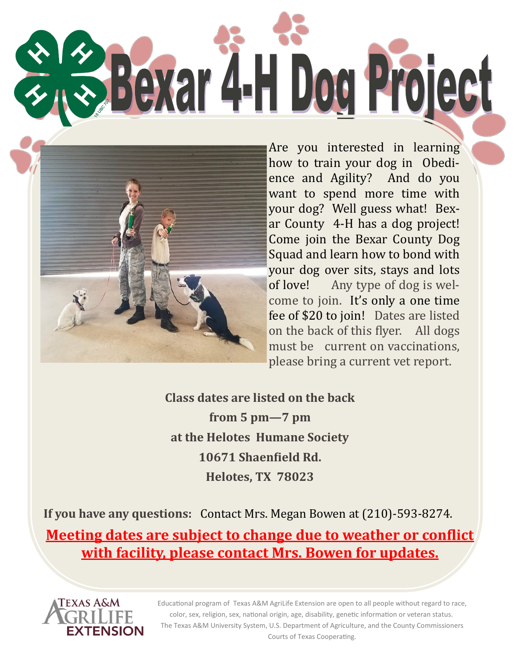



Are you interested in learning how to train your dog in Obedience and Agility? And do you want to spend more time with your dog? Well guess what! Bexar County 4-H has a dog project! Come join the Bexar County Dog Squad and learn how to bond with your dog over sits, stays and lots of love! Any type of dog is welcome to join. It's only a one time fee of \$20 to join! Dates are listed on the back of this flyer. All dogs must be current on vaccinations, please bring a current vet report.

**Class dates are listed on the back from 5 pm—7 pm at the Helotes Humane Society 10671 Shaenfield Rd. Helotes, TX 78023**

**If you have any questions:** Contact Mrs. Megan Bowen at (210)-593-8274. **Meeting dates are subject to change due to weather or conflict with facility, please contact Mrs. Bowen for updates.**



Educational program of Texas A&M AgriLife Extension are open to all people without regard to race, color, sex, religion, sex, national origin, age, disability, genetic information or veteran status. The Texas A&M University System, U.S. Department of Agriculture, and the County Commissioners Courts of Texas Cooperating.